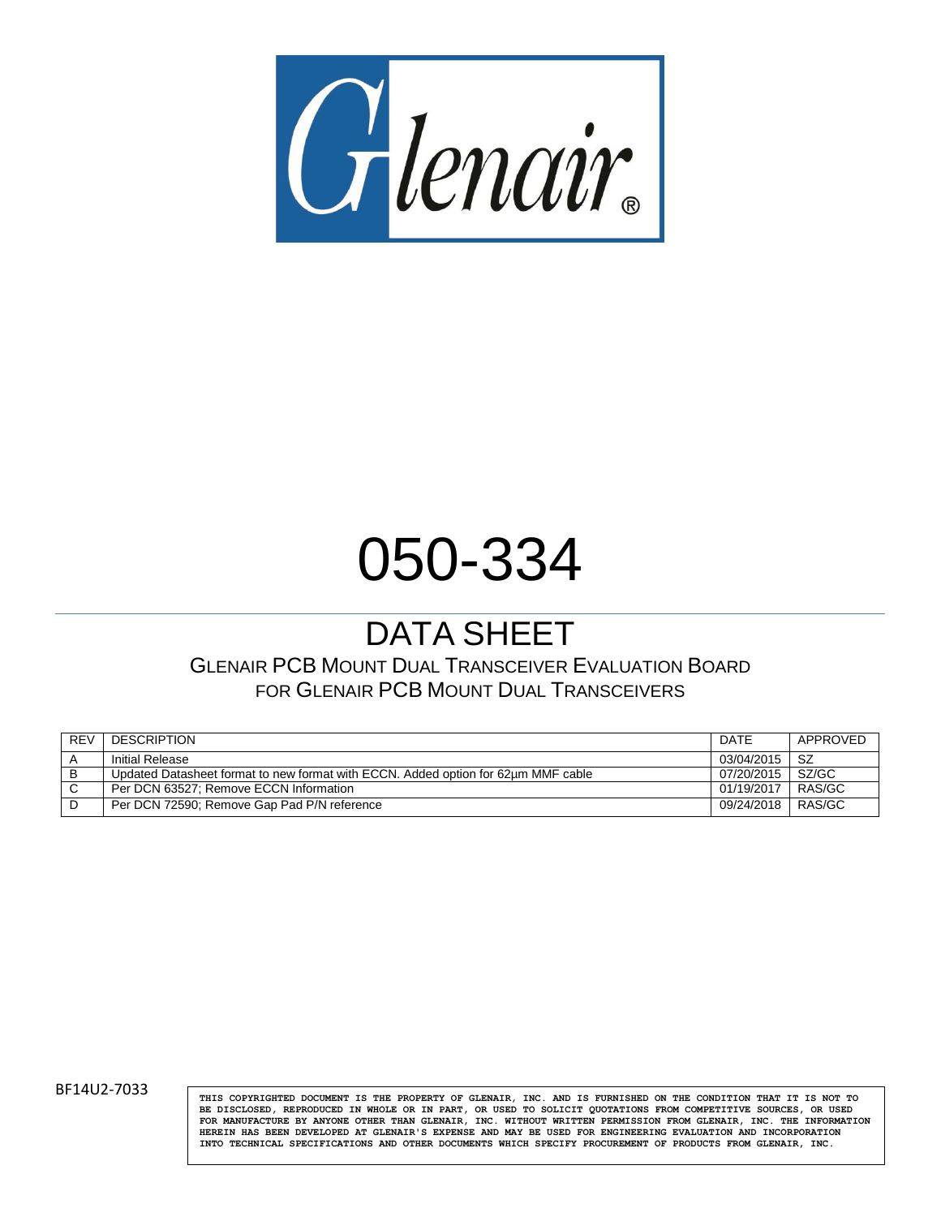

## 050-334

## DATA SHEET

GLENAIR PCB MOUNT DUAL TRANSCEIVER EVALUATION BOARD FOR GLENAIR PCB MOUNT DUAL TRANSCEIVERS

| <b>REV</b> | <b>DESCRIPTION</b>                                                                | DATE       | APPROVED |
|------------|-----------------------------------------------------------------------------------|------------|----------|
|            | Initial Release                                                                   | 03/04/2015 | -SZ      |
| B          | Updated Datasheet format to new format with ECCN. Added option for 62um MMF cable | 07/20/2015 | SZ/GC    |
| ◡          | Per DCN 63527: Remove ECCN Information                                            | 01/19/2017 | RAS/GC   |
|            | Per DCN 72590; Remove Gap Pad P/N reference                                       | 09/24/2018 | RAS/GC   |

BF14U2-7033 **THIS COPYRIGHTED DOCUMENT IS THE PROPERTY OF GLENAIR**, INC. AND IS FURNISHED ON THE CONDITION THAT IT IS NOT TO **BE DISCLOSED, REPRODUCED IN WHOLE OR IN PART, OR USED TO SOLICIT QUOTATIONS FROM COMPETITIVE SOURCES, OR USED FOR MANUFACTURE BY ANYONE OTHER THAN GLENAIR, INC. WITHOUT WRITTEN PERMISSION FROM GLENAIR, INC. THE INFORMATION HEREIN HAS BEEN DEVELOPED AT GLENAIR'S EXPENSE AND MAY BE USED FOR ENGINEERING EVALUATION AND INCORPORATION INTO TECHNICAL SPECIFICATIONS AND OTHER DOCUMENTS WHICH SPECIFY PROCUREMENT OF PRODUCTS FROM GLENAIR, INC.**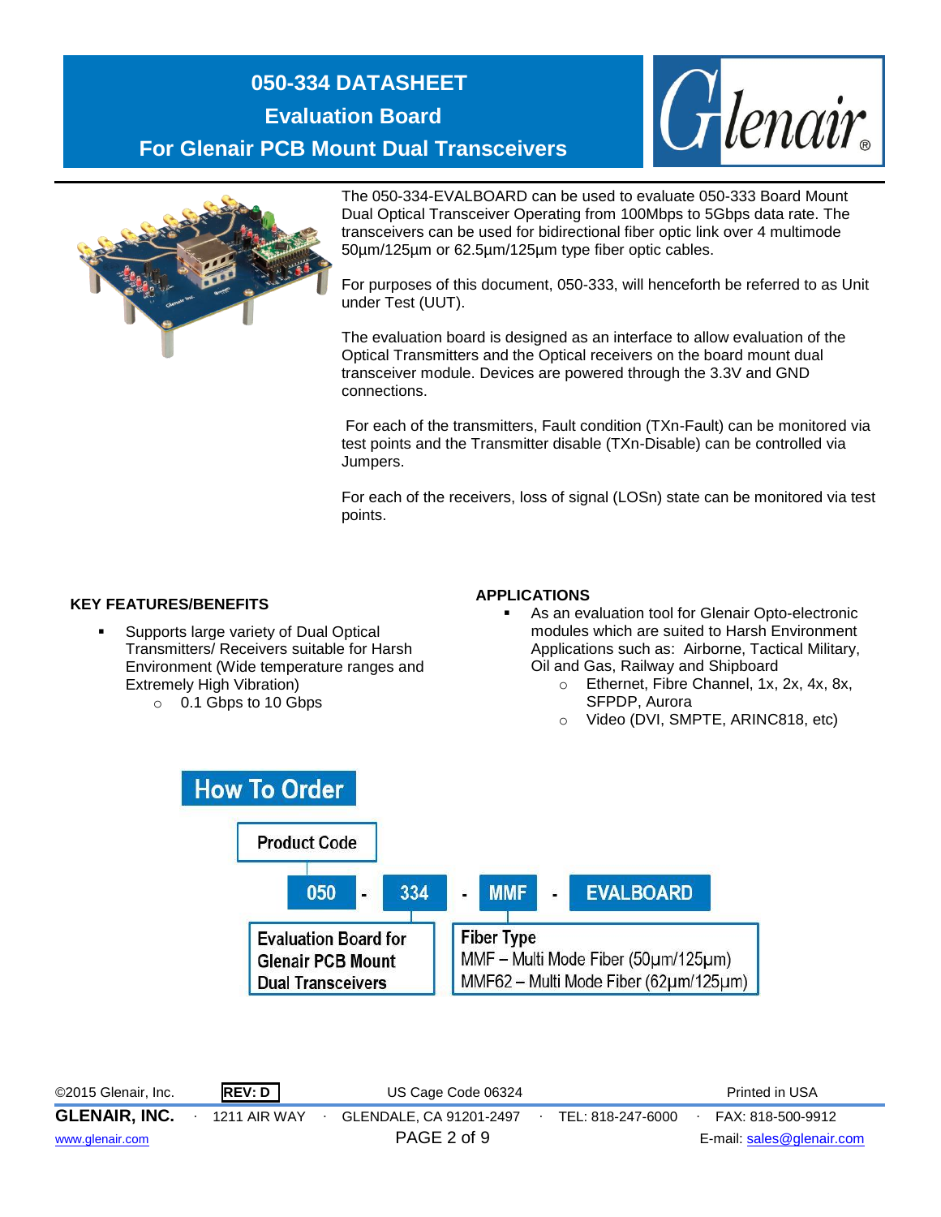



The 050-334-EVALBOARD can be used to evaluate 050-333 Board Mount Dual Optical Transceiver Operating from 100Mbps to 5Gbps data rate. The transceivers can be used for bidirectional fiber optic link over 4 multimode 50µm/125µm or 62.5µm/125µm type fiber optic cables.

For purposes of this document, 050-333, will henceforth be referred to as Unit under Test (UUT).

The evaluation board is designed as an interface to allow evaluation of the Optical Transmitters and the Optical receivers on the board mount dual transceiver module. Devices are powered through the 3.3V and GND connections.

For each of the transmitters, Fault condition (TXn-Fault) can be monitored via test points and the Transmitter disable (TXn-Disable) can be controlled via Jumpers.

For each of the receivers, loss of signal (LOSn) state can be monitored via test points.

#### **KEY FEATURES/BENEFITS**

- Supports large variety of Dual Optical Transmitters/ Receivers suitable for Harsh Environment (Wide temperature ranges and Extremely High Vibration)
	- o 0.1 Gbps to 10 Gbps

#### **APPLICATIONS**

- As an evaluation tool for Glenair Opto-electronic modules which are suited to Harsh Environment Applications such as: Airborne, Tactical Military, Oil and Gas, Railway and Shipboard
	- o Ethernet, Fibre Channel, 1x, 2x, 4x, 8x, SFPDP, Aurora
	- o Video (DVI, SMPTE, ARINC818, etc)



©2015 Glenair, Inc. **REV: D** US Cage Code 06324 Printed in USA **GLENAIR, INC.** ∙ 1211 AIR WAY ∙ GLENDALE, CA 91201-2497∙ TEL: 818-247-6000∙ FAX: 818-500-9912 [www.glenair.com](http://www.glenair.com/) PAGE 2 of 9 E-mail: [sales@glenair.com](mailto:sales@glenair.com)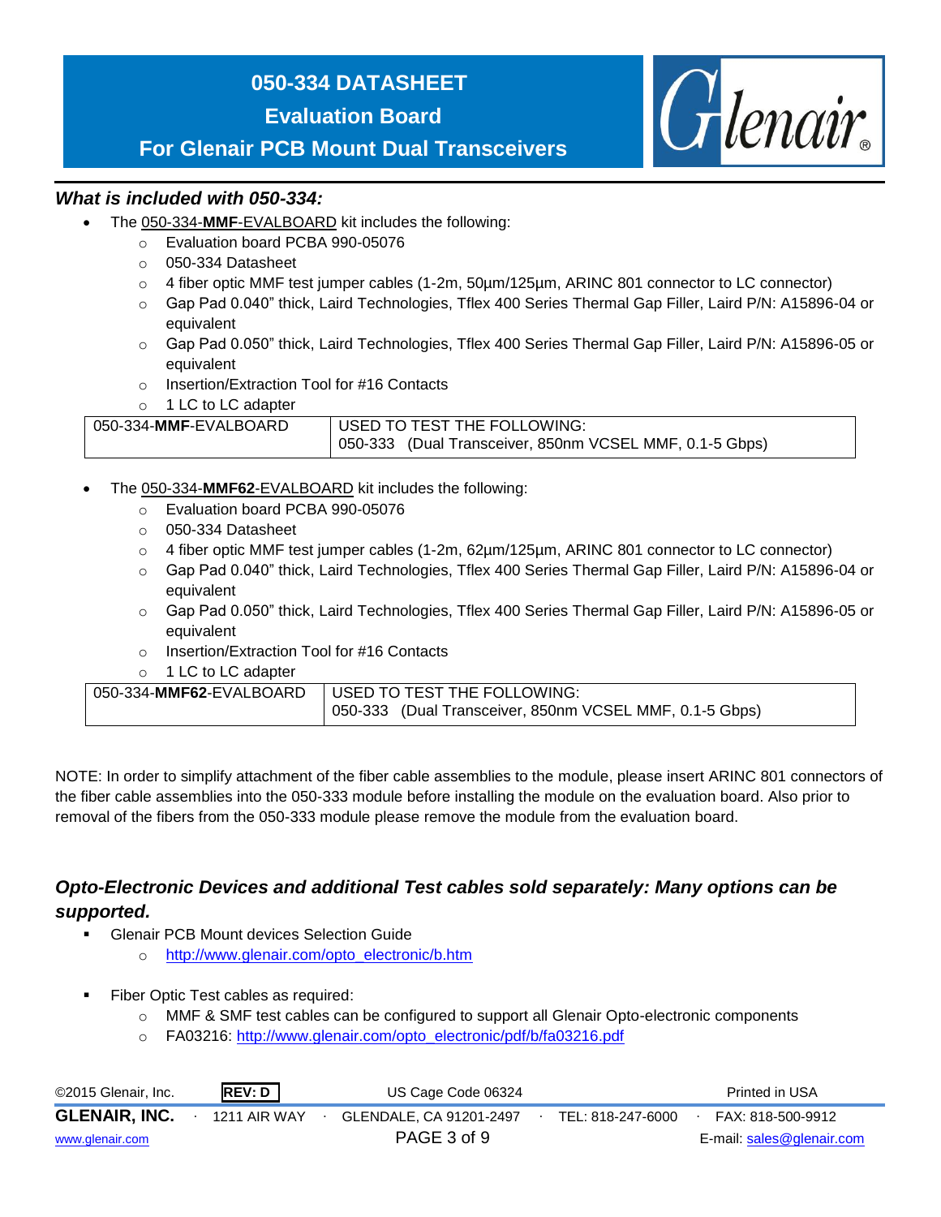#### **050-334 DATASHEET**

**Evaluation Board**

Glenair.

**For Glenair PCB Mount Dual Transceivers**

#### *What is included with 050-334:*

- The 050-334-**MMF**-EVALBOARD kit includes the following:
	- o Evaluation board PCBA 990-05076
	- o 050-334 Datasheet
	- $\circ$  4 fiber optic MMF test jumper cables (1-2m, 50 µm/125 µm, ARINC 801 connector to LC connector)
	- o Gap Pad 0.040" thick, Laird Technologies, Tflex 400 Series Thermal Gap Filler, Laird P/N: A15896-04 or equivalent
	- o Gap Pad 0.050" thick, Laird Technologies, Tflex 400 Series Thermal Gap Filler, Laird P/N: A15896-05 or equivalent
	- o Insertion/Extraction Tool for #16 Contacts
	- o 1 LC to LC adapter

| 050-334-MMF-EVALBOARD | USED TO TEST THE FOLLOWING:                             |  |  |  |  |
|-----------------------|---------------------------------------------------------|--|--|--|--|
|                       | 050-333 (Dual Transceiver, 850nm VCSEL MMF, 0.1-5 Gbps) |  |  |  |  |

- The 050-334-**MMF62**-EVALBOARD kit includes the following:
	- o Evaluation board PCBA 990-05076
	- o 050-334 Datasheet
	- $\circ$  4 fiber optic MMF test jumper cables (1-2m, 62 $\mu$ m/125 $\mu$ m, ARINC 801 connector to LC connector)
	- o Gap Pad 0.040" thick, Laird Technologies, Tflex 400 Series Thermal Gap Filler, Laird P/N: A15896-04 or equivalent
	- o Gap Pad 0.050" thick, Laird Technologies, Tflex 400 Series Thermal Gap Filler, Laird P/N: A15896-05 or equivalent
	- o Insertion/Extraction Tool for #16 Contacts
	- o 1 LC to LC adapter

| 050-334-MMF62-EVALBOARD   USED TO TEST THE FOLLOWING:   |  |  |  |  |
|---------------------------------------------------------|--|--|--|--|
| 050-333 (Dual Transceiver, 850nm VCSEL MMF, 0.1-5 Gbps) |  |  |  |  |

NOTE: In order to simplify attachment of the fiber cable assemblies to the module, please insert ARINC 801 connectors of the fiber cable assemblies into the 050-333 module before installing the module on the evaluation board. Also prior to removal of the fibers from the 050-333 module please remove the module from the evaluation board.

#### *Opto-Electronic Devices and additional Test cables sold separately: Many options can be supported.*

- **EXECUTE:** Glenair PCB Mount devices Selection Guide
	- o [http://www.glenair.com/opto\\_electronic/b.htm](http://www.glenair.com/opto_electronic/b.htm)
- Fiber Optic Test cables as required:
	- o MMF & SMF test cables can be configured to support all Glenair Opto-electronic components
	- o FA03216: [http://www.glenair.com/opto\\_electronic/pdf/b/fa03216.pdf](http://www.glenair.com/opto_electronic/pdf/b/fa03216.pdf)

| ©2015 Glenair, Inc.  | REV: D              | US Cage Code 06324      |                   | Printed in USA            |
|----------------------|---------------------|-------------------------|-------------------|---------------------------|
| <b>GLENAIR, INC.</b> | <b>1211 AIR WAY</b> | GLENDALE, CA 91201-2497 | TEL: 818-247-6000 | FAX: 818-500-9912         |
| www.glenair.com      |                     | PAGE 3 of 9             |                   | E-mail: sales@glenair.com |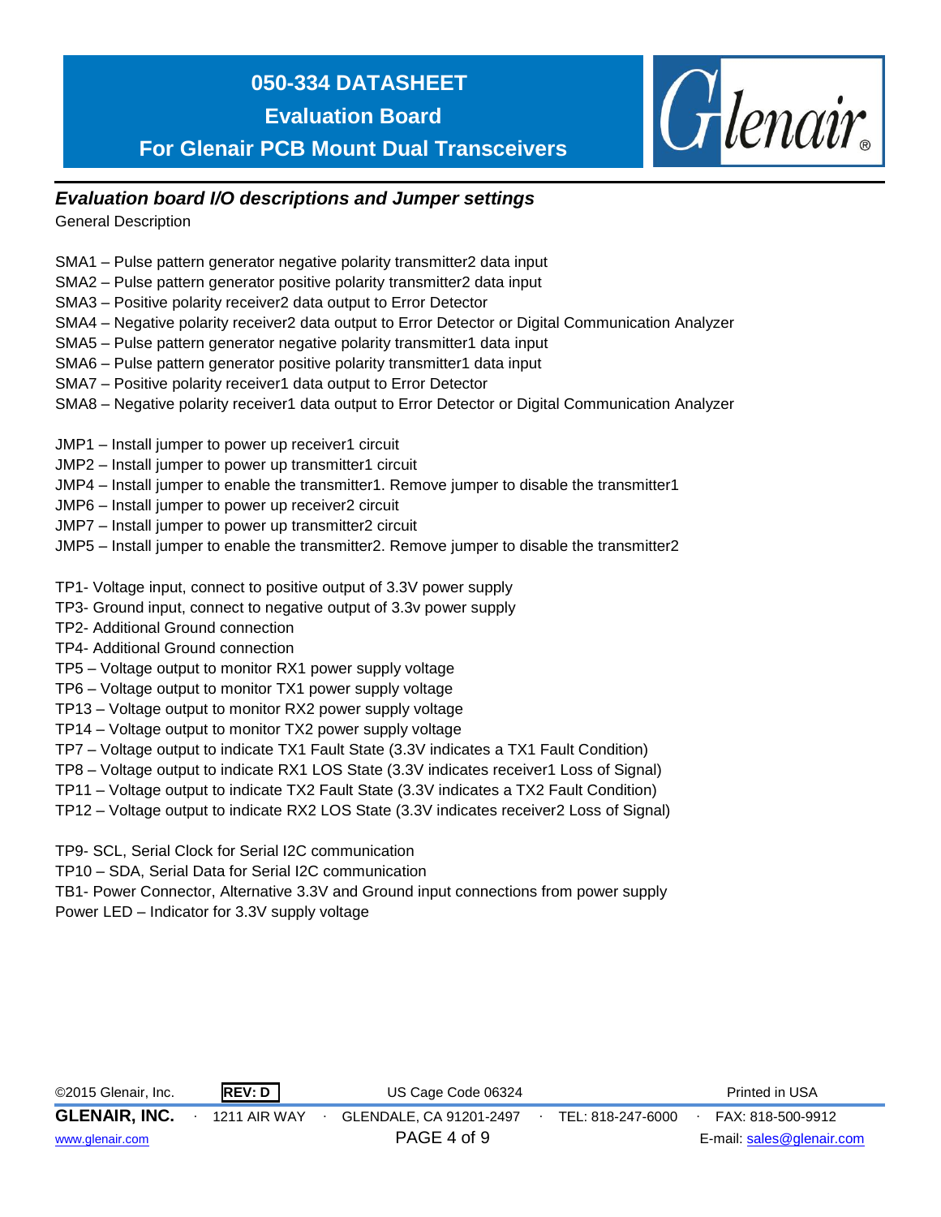## **050-334 DATASHEET**

**Evaluation Board**

**For Glenair PCB Mount Dual Transceivers**

#### *Evaluation board I/O descriptions and Jumper settings*

General Description

- SMA1 Pulse pattern generator negative polarity transmitter2 data input
- SMA2 Pulse pattern generator positive polarity transmitter2 data input
- SMA3 Positive polarity receiver2 data output to Error Detector
- SMA4 Negative polarity receiver2 data output to Error Detector or Digital Communication Analyzer

Glenair.

- SMA5 Pulse pattern generator negative polarity transmitter1 data input
- SMA6 Pulse pattern generator positive polarity transmitter1 data input
- SMA7 Positive polarity receiver1 data output to Error Detector
- SMA8 Negative polarity receiver1 data output to Error Detector or Digital Communication Analyzer
- JMP1 Install jumper to power up receiver1 circuit
- JMP2 Install jumper to power up transmitter1 circuit
- JMP4 Install jumper to enable the transmitter1. Remove jumper to disable the transmitter1
- JMP6 Install jumper to power up receiver2 circuit
- JMP7 Install jumper to power up transmitter2 circuit
- JMP5 Install jumper to enable the transmitter2. Remove jumper to disable the transmitter2
- TP1- Voltage input, connect to positive output of 3.3V power supply
- TP3- Ground input, connect to negative output of 3.3v power supply
- TP2- Additional Ground connection
- TP4- Additional Ground connection
- TP5 Voltage output to monitor RX1 power supply voltage
- TP6 Voltage output to monitor TX1 power supply voltage
- TP13 Voltage output to monitor RX2 power supply voltage
- TP14 Voltage output to monitor TX2 power supply voltage
- TP7 Voltage output to indicate TX1 Fault State (3.3V indicates a TX1 Fault Condition)
- TP8 Voltage output to indicate RX1 LOS State (3.3V indicates receiver1 Loss of Signal)
- TP11 Voltage output to indicate TX2 Fault State (3.3V indicates a TX2 Fault Condition)
- TP12 Voltage output to indicate RX2 LOS State (3.3V indicates receiver2 Loss of Signal)

TP9- SCL, Serial Clock for Serial I2C communication

TP10 – SDA, Serial Data for Serial I2C communication

TB1- Power Connector, Alternative 3.3V and Ground input connections from power supply Power LED – Indicator for 3.3V supply voltage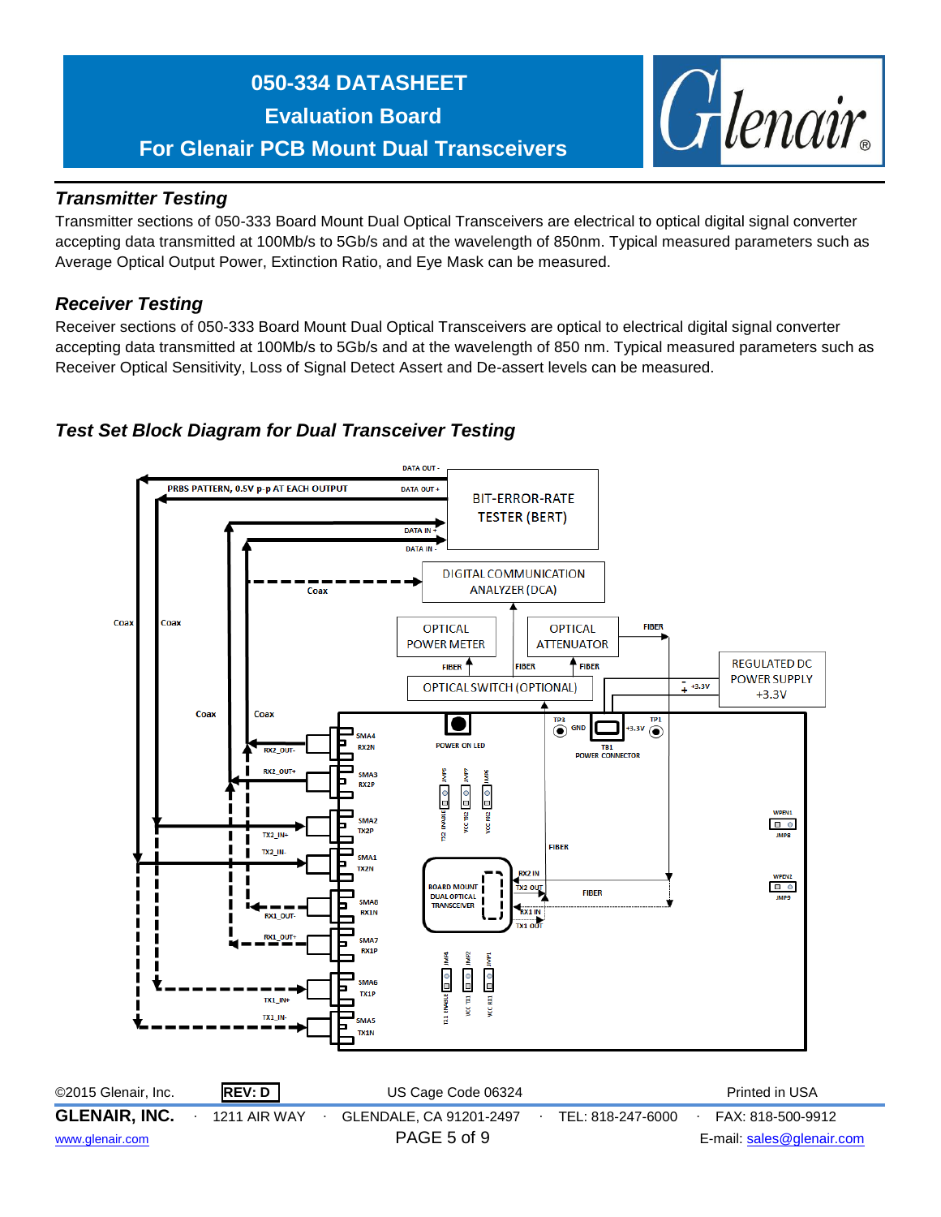# Glenair.

#### *Transmitter Testing*

Transmitter sections of 050-333 Board Mount Dual Optical Transceivers are electrical to optical digital signal converter accepting data transmitted at 100Mb/s to 5Gb/s and at the wavelength of 850nm. Typical measured parameters such as Average Optical Output Power, Extinction Ratio, and Eye Mask can be measured.

#### *Receiver Testing*

Receiver sections of 050-333 Board Mount Dual Optical Transceivers are optical to electrical digital signal converter accepting data transmitted at 100Mb/s to 5Gb/s and at the wavelength of 850 nm. Typical measured parameters such as Receiver Optical Sensitivity, Loss of Signal Detect Assert and De-assert levels can be measured.

#### *Test Set Block Diagram for Dual Transceiver Testing*

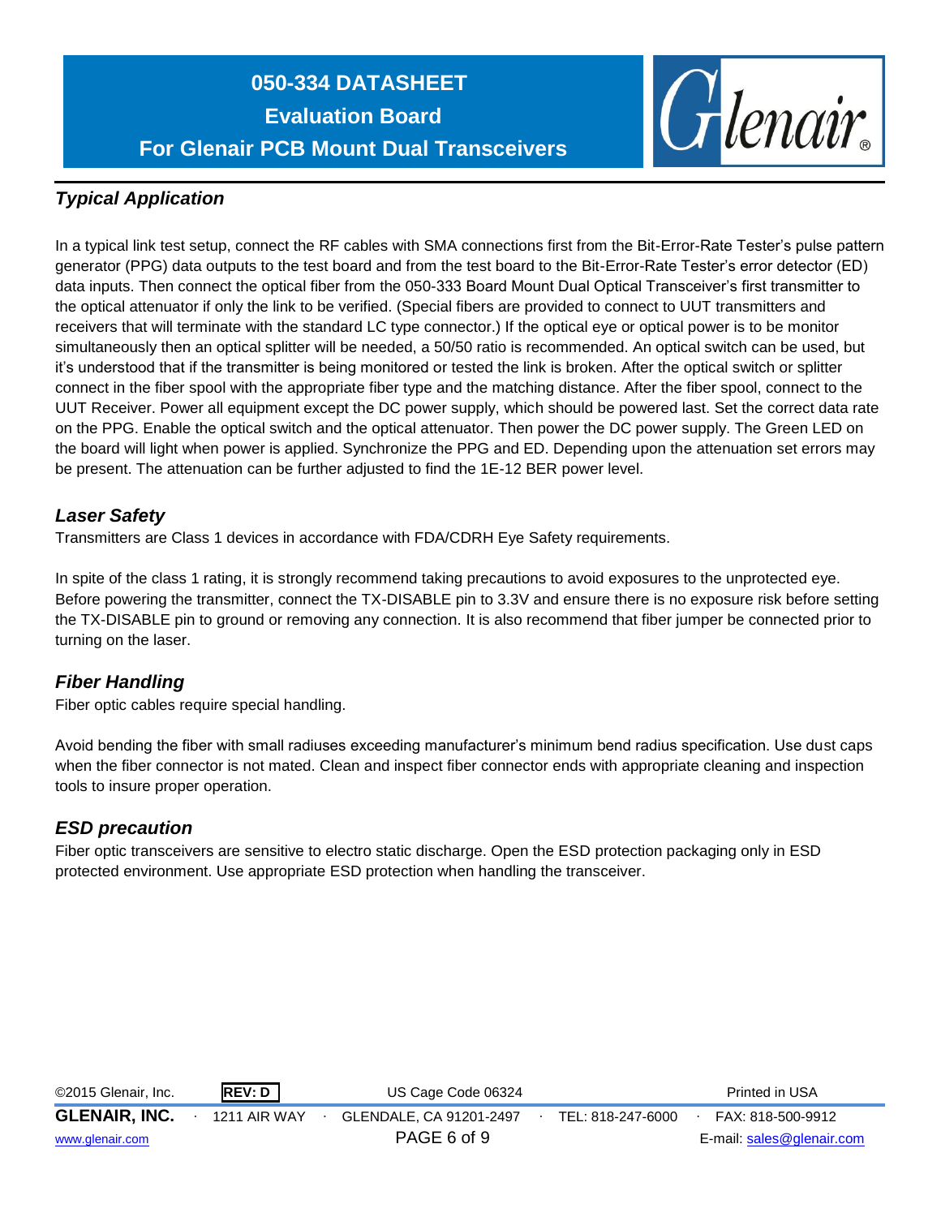

#### *Typical Application*

In a typical link test setup, connect the RF cables with SMA connections first from the Bit-Error-Rate Tester's pulse pattern generator (PPG) data outputs to the test board and from the test board to the Bit-Error-Rate Tester's error detector (ED) data inputs. Then connect the optical fiber from the 050-333 Board Mount Dual Optical Transceiver's first transmitter to the optical attenuator if only the link to be verified. (Special fibers are provided to connect to UUT transmitters and receivers that will terminate with the standard LC type connector.) If the optical eye or optical power is to be monitor simultaneously then an optical splitter will be needed, a 50/50 ratio is recommended. An optical switch can be used, but it's understood that if the transmitter is being monitored or tested the link is broken. After the optical switch or splitter connect in the fiber spool with the appropriate fiber type and the matching distance. After the fiber spool, connect to the UUT Receiver. Power all equipment except the DC power supply, which should be powered last. Set the correct data rate on the PPG. Enable the optical switch and the optical attenuator. Then power the DC power supply. The Green LED on the board will light when power is applied. Synchronize the PPG and ED. Depending upon the attenuation set errors may be present. The attenuation can be further adjusted to find the 1E-12 BER power level.

#### *Laser Safety*

Transmitters are Class 1 devices in accordance with FDA/CDRH Eye Safety requirements.

In spite of the class 1 rating, it is strongly recommend taking precautions to avoid exposures to the unprotected eye. Before powering the transmitter, connect the TX-DISABLE pin to 3.3V and ensure there is no exposure risk before setting the TX-DISABLE pin to ground or removing any connection. It is also recommend that fiber jumper be connected prior to turning on the laser.

#### *Fiber Handling*

Fiber optic cables require special handling.

Avoid bending the fiber with small radiuses exceeding manufacturer's minimum bend radius specification. Use dust caps when the fiber connector is not mated. Clean and inspect fiber connector ends with appropriate cleaning and inspection tools to insure proper operation.

#### *ESD precaution*

Fiber optic transceivers are sensitive to electro static discharge. Open the ESD protection packaging only in ESD protected environment. Use appropriate ESD protection when handling the transceiver.

| ©2015 Glenair, Inc.  | REV: D              | US Cage Code 06324      |                   | Printed in USA            |
|----------------------|---------------------|-------------------------|-------------------|---------------------------|
| <b>GLENAIR, INC.</b> | <b>1211 AIR WAY</b> | GLENDALE, CA 91201-2497 | TEL: 818-247-6000 | FAX: 818-500-9912         |
| www.glenair.com      |                     | PAGE 6 of 9             |                   | E-mail: sales@glenair.com |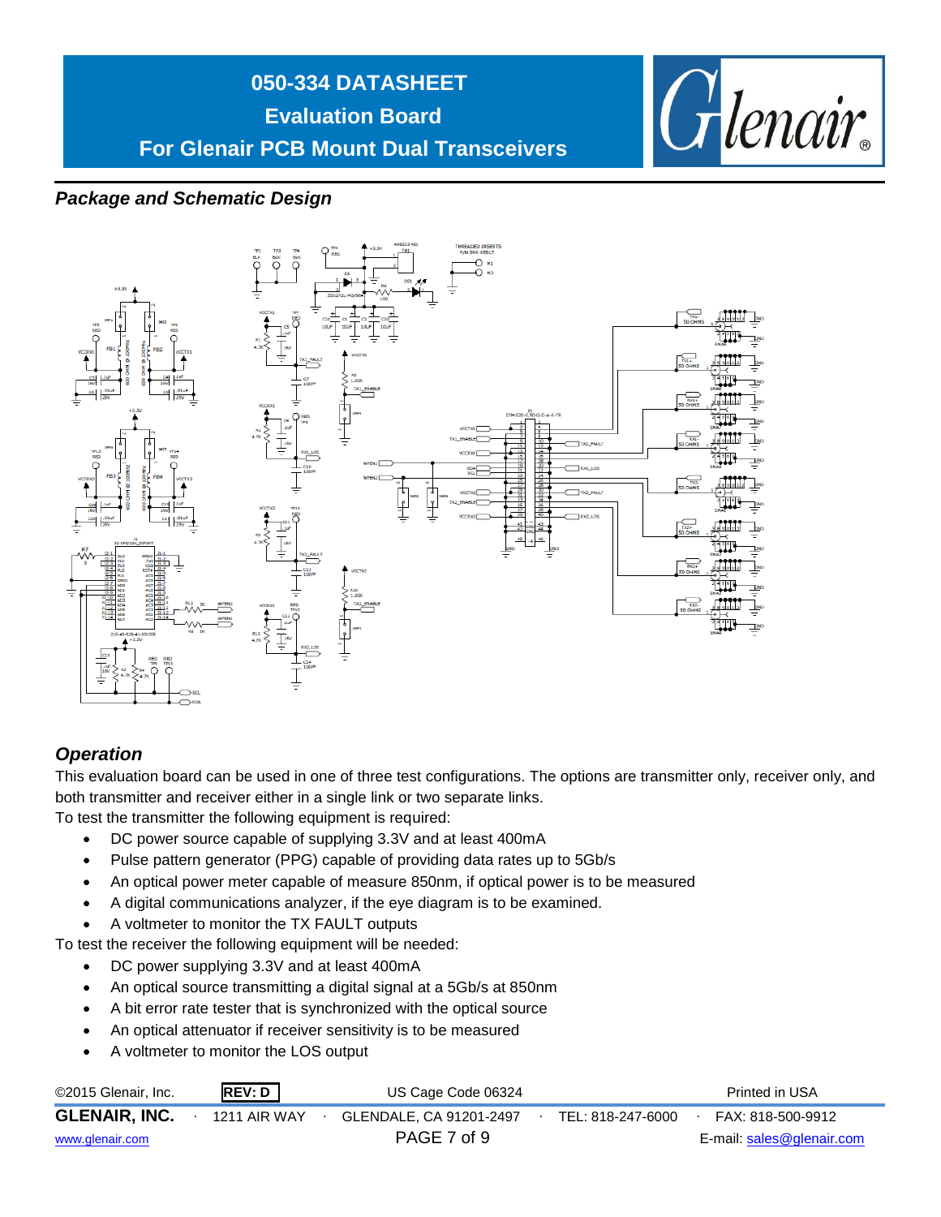

#### *Package and Schematic Design*



#### *Operation*

This evaluation board can be used in one of three test configurations. The options are transmitter only, receiver only, and both transmitter and receiver either in a single link or two separate links.

To test the transmitter the following equipment is required:

- DC power source capable of supplying 3.3V and at least 400mA
- Pulse pattern generator (PPG) capable of providing data rates up to 5Gb/s
- An optical power meter capable of measure 850nm, if optical power is to be measured
- A digital communications analyzer, if the eye diagram is to be examined.
- A voltmeter to monitor the TX FAULT outputs

To test the receiver the following equipment will be needed:

- DC power supplying 3.3V and at least 400mA
- An optical source transmitting a digital signal at a 5Gb/s at 850nm
- A bit error rate tester that is synchronized with the optical source
- An optical attenuator if receiver sensitivity is to be measured
- A voltmeter to monitor the LOS output

| ©2015 Glenair, Inc.  | REV: D              | US Cage Code 06324      |                   | Printed in USA            |
|----------------------|---------------------|-------------------------|-------------------|---------------------------|
| <b>GLENAIR, INC.</b> | <b>1211 AIR WAY</b> | GLENDALE, CA 91201-2497 | TEL: 818-247-6000 | FAX: 818-500-9912         |
| www.glenair.com      |                     | PAGE 7 of 9             |                   | E-mail: sales@glenair.com |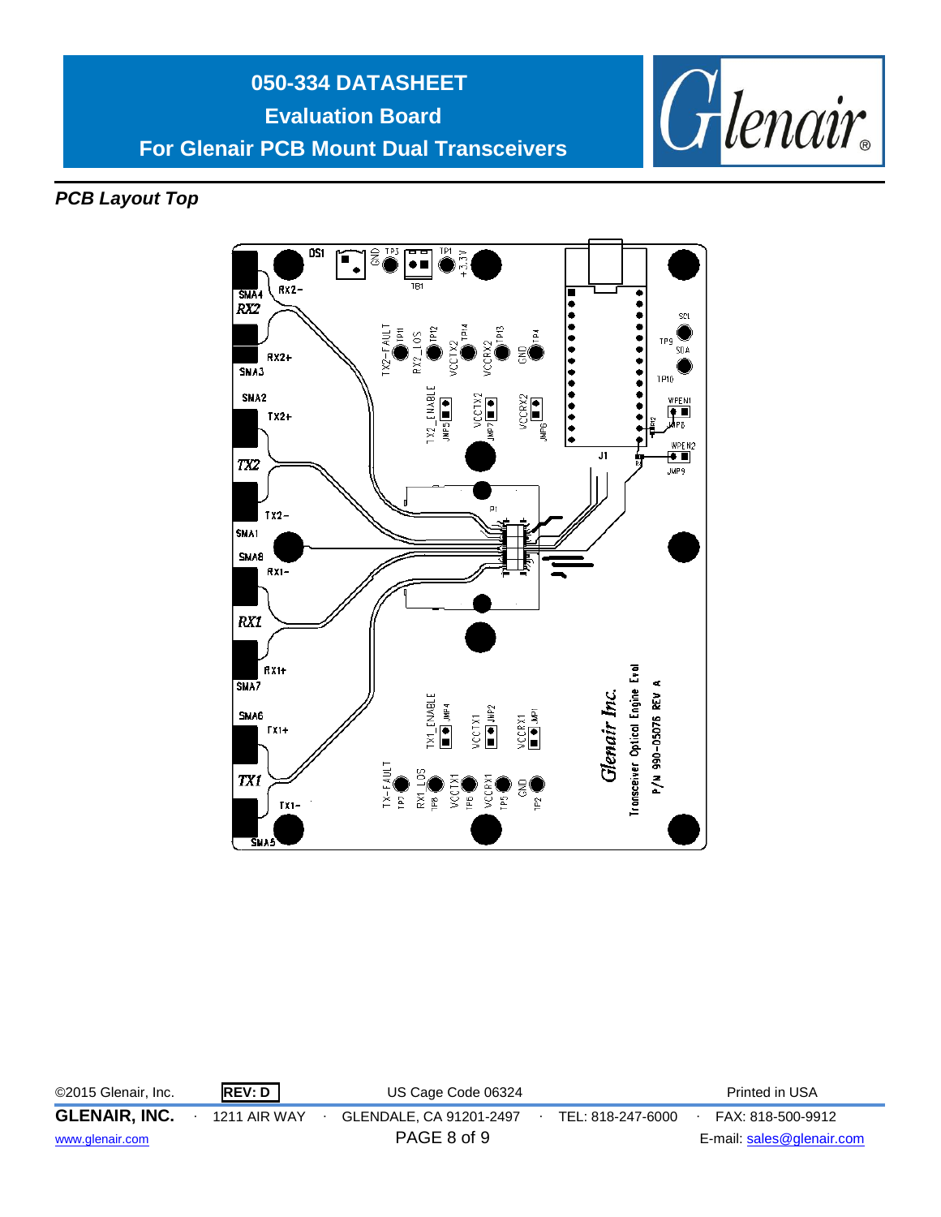



*PCB Layout Top*